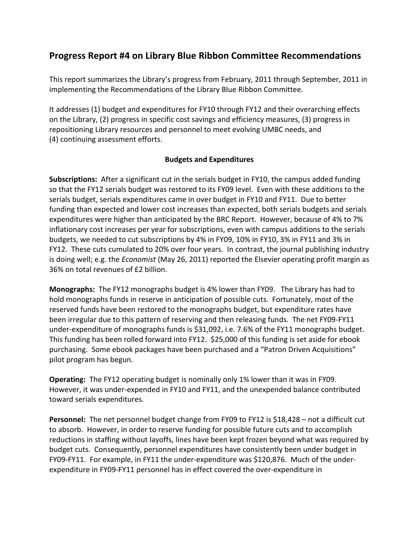# **Progress Report #4 on Library Blue Ribbon Committee Recommendations**

This report summarizes the Library's progress from February, 2011 through September, 2011 in implementing the Recommendations of the Library Blue Ribbon Committee.

It addresses (1) budget and expenditures for FY10 through FY12 and their overarching effects on the Library, (2) progress in specific cost savings and efficiency measures, (3) progress in repositioning Library resources and personnel to meet evolving UMBC needs, and (4) continuing assessment efforts.

## **Budgets and Expenditures**

**Subscriptions:** After a significant cut in the serials budget in FY10, the campus added funding so that the FY12 serials budget was restored to its FY09 level. Even with these additions to the serials budget, serials expenditures came in over budget in FY10 and FY11. Due to better funding than expected and lower cost increases than expected, both serials budgets and serials expenditures were higher than anticipated by the BRC Report. However, because of 4% to 7% inflationary cost increases per year for subscriptions, even with campus additions to the serials budgets, we needed to cut subscriptions by 4% in FY09, 10% in FY10, 3% in FY11 and 3% in FY12. These cuts cumulated to 20% over four years. In contrast, the journal publishing industry is doing well; e.g. the *Economist* (May 26, 2011) reported the Elsevier operating profit margin as 36% on total revenues of £2 billion.

**Monographs:** The FY12 monographs budget is 4% lower than FY09. The Library has had to hold monographs funds in reserve in anticipation of possible cuts. Fortunately, most of the reserved funds have been restored to the monographs budget, but expenditure rates have been irregular due to this pattern of reserving and then releasing funds. The net FY09-FY11 under-expenditure of monographs funds is \$31,092, i.e. 7.6% of the FY11 monographs budget. This funding has been rolled forward into FY12. \$25,000 of this funding is set aside for ebook purchasing. Some ebook packages have been purchased and a "Patron Driven Acquisitions" pilot program has begun.

**Operating:** The FY12 operating budget is nominally only 1% lower than it was in FY09. However, it was under-expended in FY10 and FY11, and the unexpended balance contributed toward serials expenditures.

**Personnel:** The net personnel budget change from FY09 to FY12 is \$18,428 – not a difficult cut to absorb. However, in order to reserve funding for possible future cuts and to accomplish reductions in staffing without layoffs, lines have been kept frozen beyond what was required by budget cuts. Consequently, personnel expenditures have consistently been under budget in FY09-FY11. For example, in FY11 the under-expenditure was \$120,876. Much of the underexpenditure in FY09-FY11 personnel has in effect covered the over-expenditure in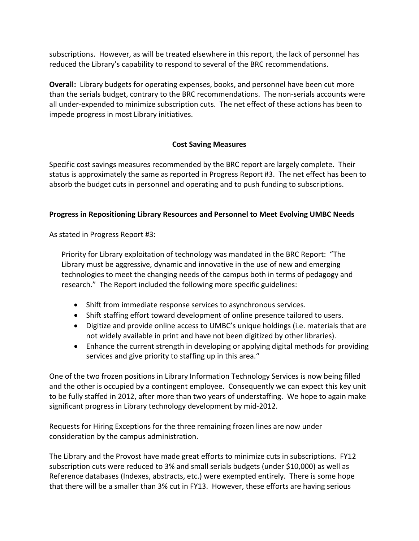subscriptions. However, as will be treated elsewhere in this report, the lack of personnel has reduced the Library's capability to respond to several of the BRC recommendations.

**Overall:** Library budgets for operating expenses, books, and personnel have been cut more than the serials budget, contrary to the BRC recommendations. The non-serials accounts were all under-expended to minimize subscription cuts. The net effect of these actions has been to impede progress in most Library initiatives.

# **Cost Saving Measures**

Specific cost savings measures recommended by the BRC report are largely complete. Their status is approximately the same as reported in Progress Report #3. The net effect has been to absorb the budget cuts in personnel and operating and to push funding to subscriptions.

# **Progress in Repositioning Library Resources and Personnel to Meet Evolving UMBC Needs**

As stated in Progress Report #3:

Priority for Library exploitation of technology was mandated in the BRC Report: "The Library must be aggressive, dynamic and innovative in the use of new and emerging technologies to meet the changing needs of the campus both in terms of pedagogy and research." The Report included the following more specific guidelines:

- Shift from immediate response services to asynchronous services.
- Shift staffing effort toward development of online presence tailored to users.
- Digitize and provide online access to UMBC's unique holdings (i.e. materials that are not widely available in print and have not been digitized by other libraries).
- Enhance the current strength in developing or applying digital methods for providing services and give priority to staffing up in this area."

One of the two frozen positions in Library Information Technology Services is now being filled and the other is occupied by a contingent employee. Consequently we can expect this key unit to be fully staffed in 2012, after more than two years of understaffing. We hope to again make significant progress in Library technology development by mid-2012.

Requests for Hiring Exceptions for the three remaining frozen lines are now under consideration by the campus administration.

The Library and the Provost have made great efforts to minimize cuts in subscriptions. FY12 subscription cuts were reduced to 3% and small serials budgets (under \$10,000) as well as Reference databases (Indexes, abstracts, etc.) were exempted entirely. There is some hope that there will be a smaller than 3% cut in FY13. However, these efforts are having serious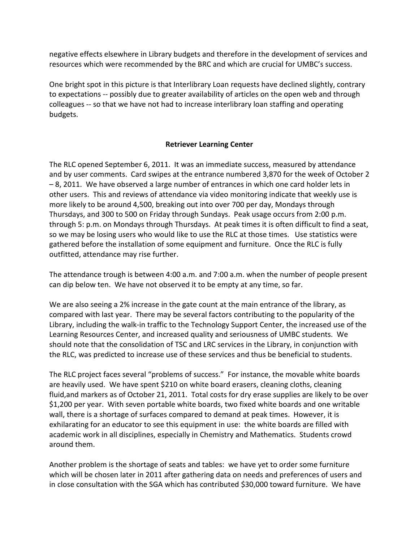negative effects elsewhere in Library budgets and therefore in the development of services and resources which were recommended by the BRC and which are crucial for UMBC's success.

One bright spot in this picture is that Interlibrary Loan requests have declined slightly, contrary to expectations -- possibly due to greater availability of articles on the open web and through colleagues -- so that we have not had to increase interlibrary loan staffing and operating budgets.

## **Retriever Learning Center**

The RLC opened September 6, 2011. It was an immediate success, measured by attendance and by user comments. Card swipes at the entrance numbered 3,870 for the week of October 2 – 8, 2011. We have observed a large number of entrances in which one card holder lets in other users. This and reviews of attendance via video monitoring indicate that weekly use is more likely to be around 4,500, breaking out into over 700 per day, Mondays through Thursdays, and 300 to 500 on Friday through Sundays. Peak usage occurs from 2:00 p.m. through 5: p.m. on Mondays through Thursdays. At peak times it is often difficult to find a seat, so we may be losing users who would like to use the RLC at those times. Use statistics were gathered before the installation of some equipment and furniture. Once the RLC is fully outfitted, attendance may rise further.

The attendance trough is between 4:00 a.m. and 7:00 a.m. when the number of people present can dip below ten. We have not observed it to be empty at any time, so far.

We are also seeing a 2% increase in the gate count at the main entrance of the library, as compared with last year. There may be several factors contributing to the popularity of the Library, including the walk-in traffic to the Technology Support Center, the increased use of the Learning Resources Center, and increased quality and seriousness of UMBC students. We should note that the consolidation of TSC and LRC services in the Library, in conjunction with the RLC, was predicted to increase use of these services and thus be beneficial to students.

The RLC project faces several "problems of success." For instance, the movable white boards are heavily used. We have spent \$210 on white board erasers, cleaning cloths, cleaning fluid,and markers as of October 21, 2011. Total costs for dry erase supplies are likely to be over \$1,200 per year. With seven portable white boards, two fixed white boards and one writable wall, there is a shortage of surfaces compared to demand at peak times. However, it is exhilarating for an educator to see this equipment in use: the white boards are filled with academic work in all disciplines, especially in Chemistry and Mathematics. Students crowd around them.

Another problem is the shortage of seats and tables: we have yet to order some furniture which will be chosen later in 2011 after gathering data on needs and preferences of users and in close consultation with the SGA which has contributed \$30,000 toward furniture. We have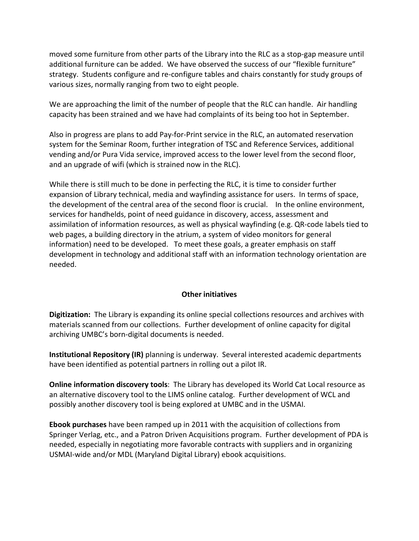moved some furniture from other parts of the Library into the RLC as a stop-gap measure until additional furniture can be added. We have observed the success of our "flexible furniture" strategy. Students configure and re-configure tables and chairs constantly for study groups of various sizes, normally ranging from two to eight people.

We are approaching the limit of the number of people that the RLC can handle. Air handling capacity has been strained and we have had complaints of its being too hot in September.

Also in progress are plans to add Pay-for-Print service in the RLC, an automated reservation system for the Seminar Room, further integration of TSC and Reference Services, additional vending and/or Pura Vida service, improved access to the lower level from the second floor, and an upgrade of wifi (which is strained now in the RLC).

While there is still much to be done in perfecting the RLC, it is time to consider further expansion of Library technical, media and wayfinding assistance for users. In terms of space, the development of the central area of the second floor is crucial. In the online environment, services for handhelds, point of need guidance in discovery, access, assessment and assimilation of information resources, as well as physical wayfinding (e.g. QR-code labels tied to web pages, a building directory in the atrium, a system of video monitors for general information) need to be developed. To meet these goals, a greater emphasis on staff development in technology and additional staff with an information technology orientation are needed.

### **Other initiatives**

**Digitization:** The Library is expanding its online special collections resources and archives with materials scanned from our collections. Further development of online capacity for digital archiving UMBC's born-digital documents is needed.

**Institutional Repository (IR)** planning is underway. Several interested academic departments have been identified as potential partners in rolling out a pilot IR.

**Online information discovery tools**: The Library has developed its World Cat Local resource as an alternative discovery tool to the LIMS online catalog. Further development of WCL and possibly another discovery tool is being explored at UMBC and in the USMAI.

**Ebook purchases** have been ramped up in 2011 with the acquisition of collections from Springer Verlag, etc., and a Patron Driven Acquisitions program. Further development of PDA is needed, especially in negotiating more favorable contracts with suppliers and in organizing USMAI-wide and/or MDL (Maryland Digital Library) ebook acquisitions.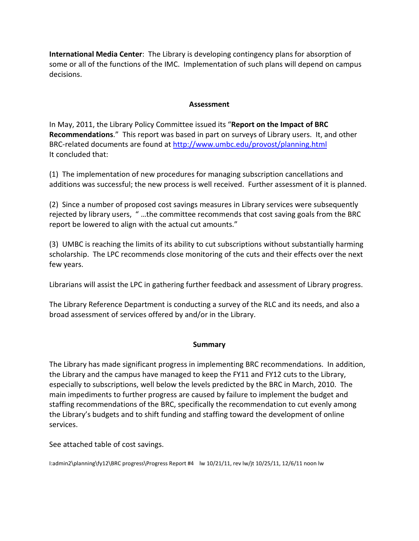**International Media Center**: The Library is developing contingency plans for absorption of some or all of the functions of the IMC. Implementation of such plans will depend on campus decisions.

### **Assessment**

In May, 2011, the Library Policy Committee issued its "**Report on the Impact of BRC Recommendations**." This report was based in part on surveys of Library users. It, and other BRC-related documents are found at<http://www.umbc.edu/provost/planning.html> It concluded that:

(1) The implementation of new procedures for managing subscription cancellations and additions was successful; the new process is well received. Further assessment of it is planned.

(2) Since a number of proposed cost savings measures in Library services were subsequently rejected by library users, " …the committee recommends that cost saving goals from the BRC report be lowered to align with the actual cut amounts."

(3) UMBC is reaching the limits of its ability to cut subscriptions without substantially harming scholarship. The LPC recommends close monitoring of the cuts and their effects over the next few years.

Librarians will assist the LPC in gathering further feedback and assessment of Library progress.

The Library Reference Department is conducting a survey of the RLC and its needs, and also a broad assessment of services offered by and/or in the Library.

### **Summary**

The Library has made significant progress in implementing BRC recommendations. In addition, the Library and the campus have managed to keep the FY11 and FY12 cuts to the Library, especially to subscriptions, well below the levels predicted by the BRC in March, 2010. The main impediments to further progress are caused by failure to implement the budget and staffing recommendations of the BRC, specifically the recommendation to cut evenly among the Library's budgets and to shift funding and staffing toward the development of online services.

See attached table of cost savings.

I:admin2\planning\fy12\BRC progress\Progress Report #4 lw 10/21/11, rev lw/jt 10/25/11, 12/6/11 noon lw